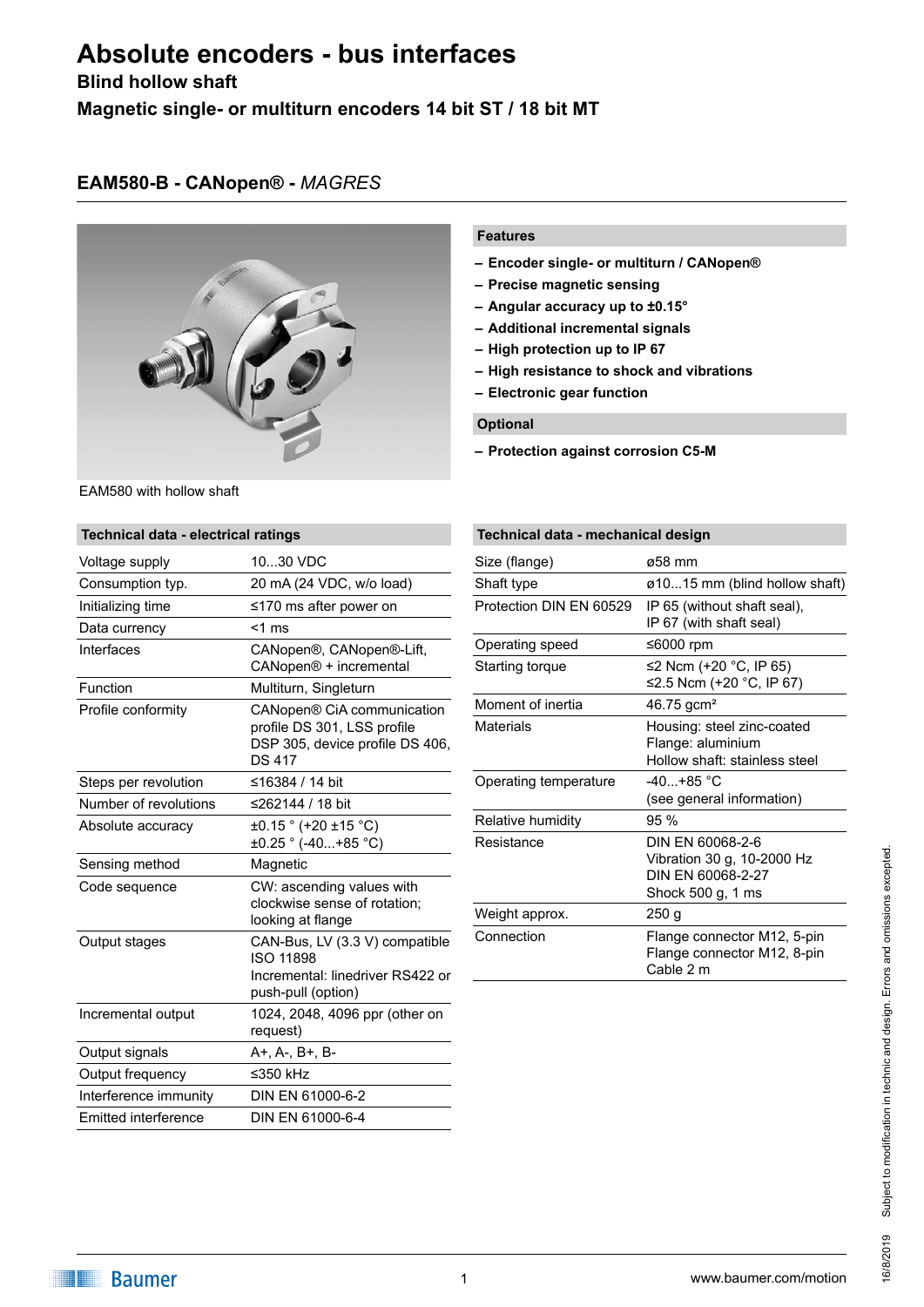# **Absolute encoders - bus interfaces**

# **Blind hollow shaft**

**Magnetic single- or multiturn encoders 14 bit ST / 18 bit MT**

# **EAM580-B - CANopen® -** *MAGRES*



EAM580 with hollow shaft

# **Technical data - electrical ratings** Voltage supply 10...30 VDC Consumption typ. 20 mA (24 VDC, w/o load) Initializing time ≤170 ms after power on Data currency <1 ms Interfaces CANopen®, CANopen®-Lift, CANopen® + incremental Function Multiturn, Singleturn Profile conformity CANopen® CiA communication profile DS 301, LSS profile DSP 305, device profile DS 406, DS 417 Steps per revolution ≤16384 / 14 bit Number of revolutions ≤262144 / 18 bit Absolute accuracy  $\pm 0.15$  ° (+20  $\pm 15$  °C) ±0.25 ° (-40...+85 °C) Sensing method Magnetic Code sequence **CW:** ascending values with clockwise sense of rotation; looking at flange Output stages CAN-Bus, LV (3.3 V) compatible ISO 11898 Incremental: linedriver RS422 or push-pull (option) Incremental output 1024, 2048, 4096 ppr (other on request) Output signals A+, A-, B+, B-Output frequency ≤350 kHz Interference immunity DIN EN 61000-6-2 Emitted interference DIN EN 61000-6-4

### **Features**

- **– Encoder single- or multiturn / CANopen®**
- **– Precise magnetic sensing**
- **– Angular accuracy up to ±0.15°**
- **– Additional incremental signals**
- **– High protection up to IP 67**
- **– High resistance to shock and vibrations**
- **– Electronic gear function**

#### **Optional**

**– Protection against corrosion C5-M**

| Technical data - mechanical design |                                                                                          |  |
|------------------------------------|------------------------------------------------------------------------------------------|--|
| Size (flange)                      | ø58 mm                                                                                   |  |
| Shaft type                         | ø1015 mm (blind hollow shaft)                                                            |  |
| Protection DIN EN 60529            | IP 65 (without shaft seal),<br>IP 67 (with shaft seal)                                   |  |
| Operating speed                    | ≤6000 rpm                                                                                |  |
| Starting torque                    | ≤2 Ncm (+20 °C, IP 65)<br>≤2.5 Ncm (+20 °C, IP 67)                                       |  |
| Moment of inertia                  | 46.75 gcm <sup>2</sup>                                                                   |  |
| Materials                          | Housing: steel zinc-coated<br>Flange: aluminium<br>Hollow shaft: stainless steel         |  |
| Operating temperature              | $-40+85$ °C<br>(see general information)                                                 |  |
| Relative humidity                  | 95%                                                                                      |  |
| Resistance                         | DIN FN 60068-2-6<br>Vibration 30 g, 10-2000 Hz<br>DIN FN 60068-2-27<br>Shock 500 g, 1 ms |  |
| Weight approx.                     | 250 g                                                                                    |  |
| Connection                         | Flange connector M12, 5-pin<br>Flange connector M12, 8-pin<br>Cable 2 m                  |  |

# Subject to modification in technic and design. Errors and omissions excepted. Subject to modification in technic and design. Errors and omissions excepted 6/8/2019 16/8/2019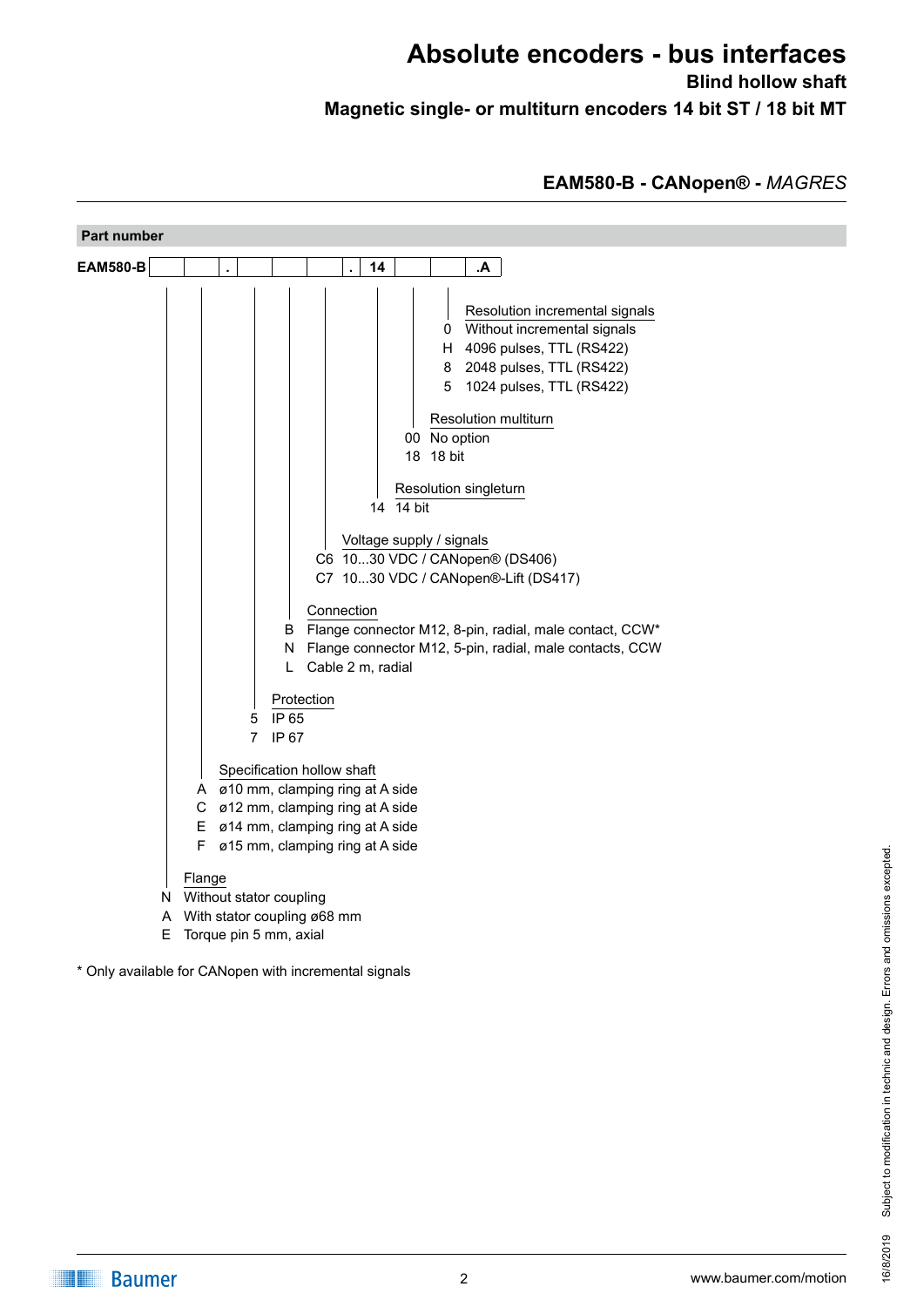# **Absolute encoders - bus interfaces Blind hollow shaft Magnetic single- or multiturn encoders 14 bit ST / 18 bit MT**

**EAM580-B - CANopen® -** *MAGRES*



\* Only available for CANopen with incremental signals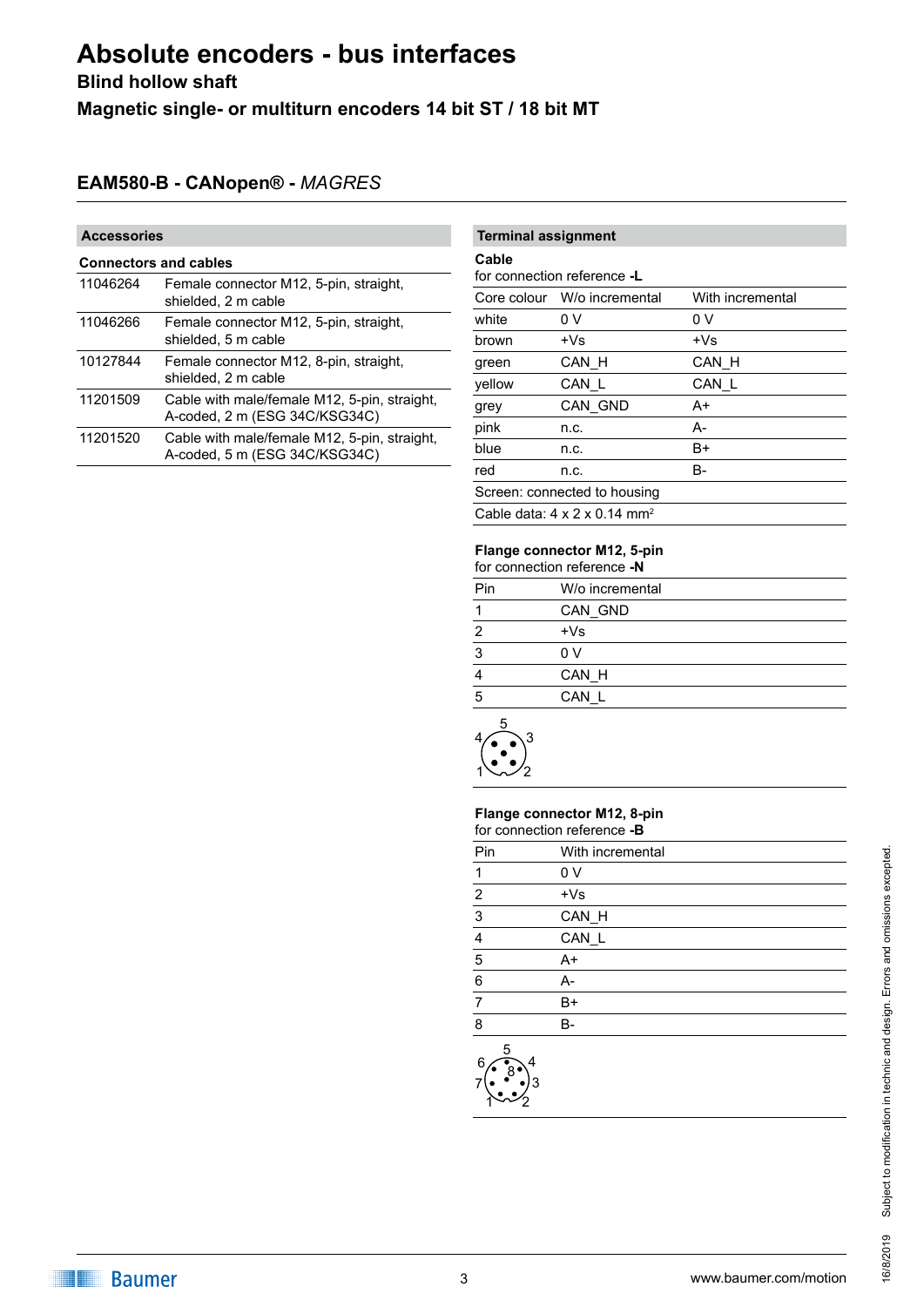# **Absolute encoders - bus interfaces**

**Blind hollow shaft**

**Magnetic single- or multiturn encoders 14 bit ST / 18 bit MT**

# **EAM580-B - CANopen® -** *MAGRES*

# **Accessories**

| <b>Connectors and cables</b> |                                                                               |  |
|------------------------------|-------------------------------------------------------------------------------|--|
| 11046264                     | Female connector M12, 5-pin, straight,<br>shielded, 2 m cable                 |  |
| 11046266                     | Female connector M12, 5-pin, straight,<br>shielded, 5 m cable                 |  |
| 10127844                     | Female connector M12, 8-pin, straight,<br>shielded, 2 m cable                 |  |
| 11201509                     | Cable with male/female M12, 5-pin, straight,<br>A-coded, 2 m (ESG 34C/KSG34C) |  |
| 11201520                     | Cable with male/female M12, 5-pin, straight,<br>A-coded, 5 m (ESG 34C/KSG34C) |  |

# **Terminal assignment**

# **Cable**

for connection reference **-L**

|                                                      | Core colour W/o incremental | With incremental |
|------------------------------------------------------|-----------------------------|------------------|
| white                                                | 0 V                         | 0 V              |
| brown                                                | $+Vs$                       | $+Vs$            |
| green                                                | CAN H                       | CAN H            |
| yellow                                               | CAN L                       | CAN L            |
| grey                                                 | CAN GND                     | A+               |
| pink                                                 | n.c.                        | А-               |
| blue                                                 | n.c.                        | B+               |
| red                                                  | n.c.                        | B-               |
| Screen: connected to housing                         |                             |                  |
| Cable data: $4 \times 2 \times 0.14$ mm <sup>2</sup> |                             |                  |

# **Flange connector M12, 5-pin**

| for connection reference -N |                 |
|-----------------------------|-----------------|
| Pin                         | W/o incremental |
| 1                           | CAN GND         |
| 2                           | $+Vs$           |
| 3                           | 0 V             |
| 4                           | CAN H           |
| 5                           | CAN L           |
|                             |                 |



#### **Flange connector M12, 8-pin** for connection reference **-B**

| Pin                   | With incremental |
|-----------------------|------------------|
| $\mathbf 1$           | 0 <sub>V</sub>   |
| $\overline{2}$        | $+Vs$            |
| $\overline{3}$        | CAN_H            |
| $\overline{4}$        | CAN_L            |
| $\overline{5}$        | $A+$             |
| $6\phantom{1}6$       | A-               |
| $\overline{7}$        | B+               |
| 8                     | $B -$            |
| 5<br>6<br>4<br>8<br>З |                  |

1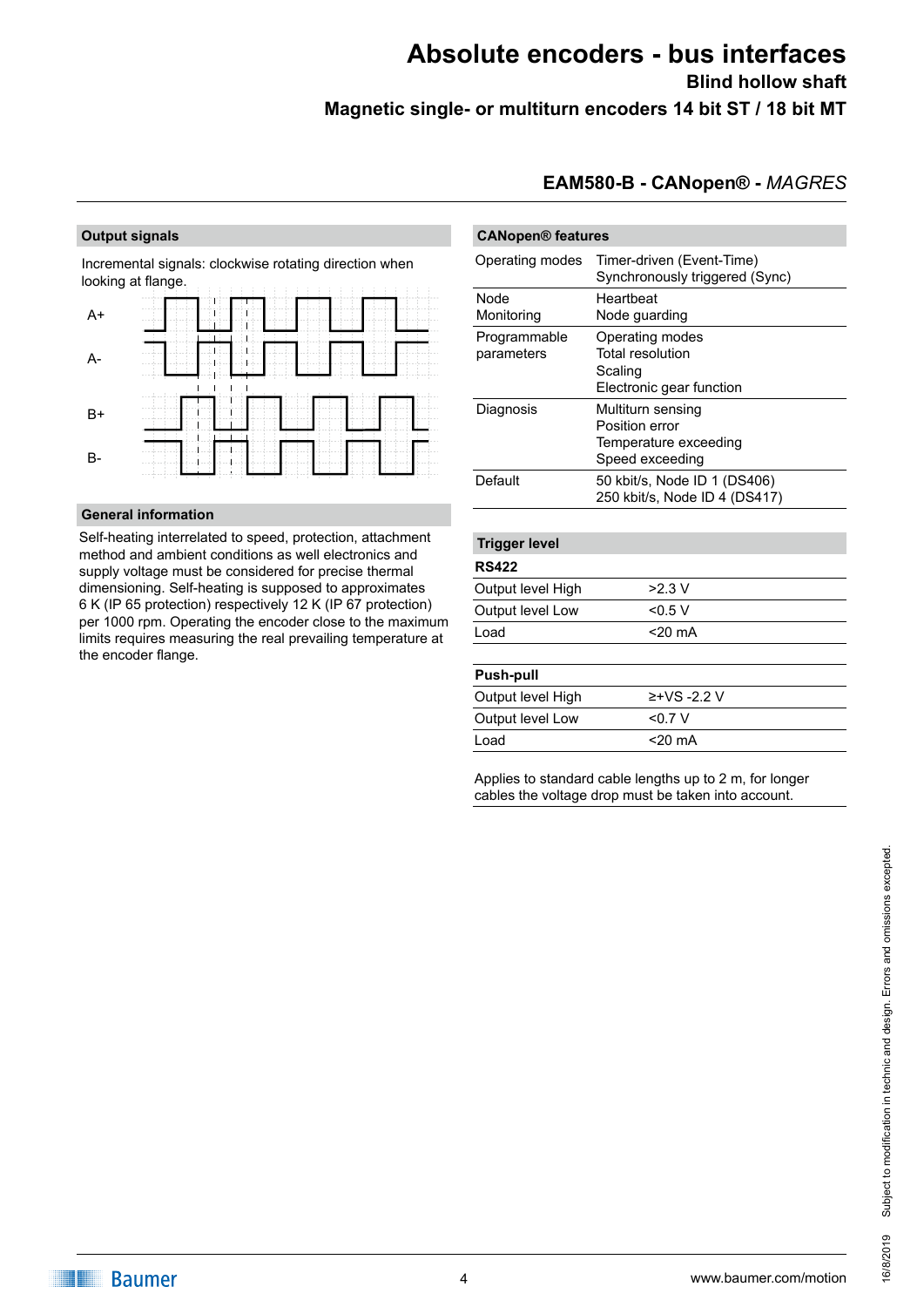# **Absolute encoders - bus interfaces Blind hollow shaft Magnetic single- or multiturn encoders 14 bit ST / 18 bit MT**

#### **Output signals**

Incremental signals: clockwise rotating direction when looking at flange.

| $A+$  | 10<br>--------<br><b>CONTRACTOR</b><br>n.                                                                                                  |
|-------|--------------------------------------------------------------------------------------------------------------------------------------------|
| А-    | ---<br>.<br>$\sim$<br>$-$<br><b>STATE</b><br>an Ford and<br>×.<br>m<br>m<br>.<br>$\sim$<br><b>Contract Contract</b><br><b>COLLA</b>        |
| B+    | <b>Contract Contract</b><br>m.<br>- 11<br>$\sim$<br>---------<br>--<br>do a mark and a<br>a biocondo a a b<br>the product of the party and |
| $B -$ | ---<br>$= 100$<br>.<br>.<br>11<br>$\sim$<br>.<br>$\cdots$<br>$\cdots$<br>. .<br>$\sim$                                                     |

## **General information**

Self-heating interrelated to speed, protection, attachment method and ambient conditions as well electronics and supply voltage must be considered for precise thermal dimensioning. Self-heating is supposed to approximates 6 K (IP 65 protection) respectively 12 K (IP 67 protection) per 1000 rpm. Operating the encoder close to the maximum limits requires measuring the real prevailing temperature at the encoder flange.

# **EAM580-B - CANopen® -** *MAGRES*

| <b>CANopen® features</b> |                                                               |  |
|--------------------------|---------------------------------------------------------------|--|
| Operating modes          | Timer-driven (Event-Time)<br>Synchronously triggered (Sync)   |  |
| Node                     | Heartbeat                                                     |  |
| Monitoring               | Node guarding                                                 |  |
| Programmable             | Operating modes                                               |  |
| parameters               | <b>Total resolution</b>                                       |  |
|                          | Scaling                                                       |  |
|                          | Electronic gear function                                      |  |
| Diagnosis                | Multiturn sensing                                             |  |
|                          | Position error                                                |  |
|                          | Temperature exceeding                                         |  |
|                          | Speed exceeding                                               |  |
| Default                  | 50 kbit/s, Node ID 1 (DS406)<br>250 kbit/s, Node ID 4 (DS417) |  |
|                          |                                                               |  |
| <b>Trigger level</b>     |                                                               |  |
| <b>RS422</b>             |                                                               |  |
| Output level High        | $>2.3$ V                                                      |  |
| Output level Low         | $<$ 0.5 V                                                     |  |
| Load                     | $<$ 20 mA                                                     |  |
| <b>Push-pull</b>         |                                                               |  |
| Output level High        | ≥+VS -2.2 V                                                   |  |
| Output level Low         | < 0.7 V                                                       |  |

Applies to standard cable lengths up to 2 m, for longer cables the voltage drop must be taken into account.

Load <20 mA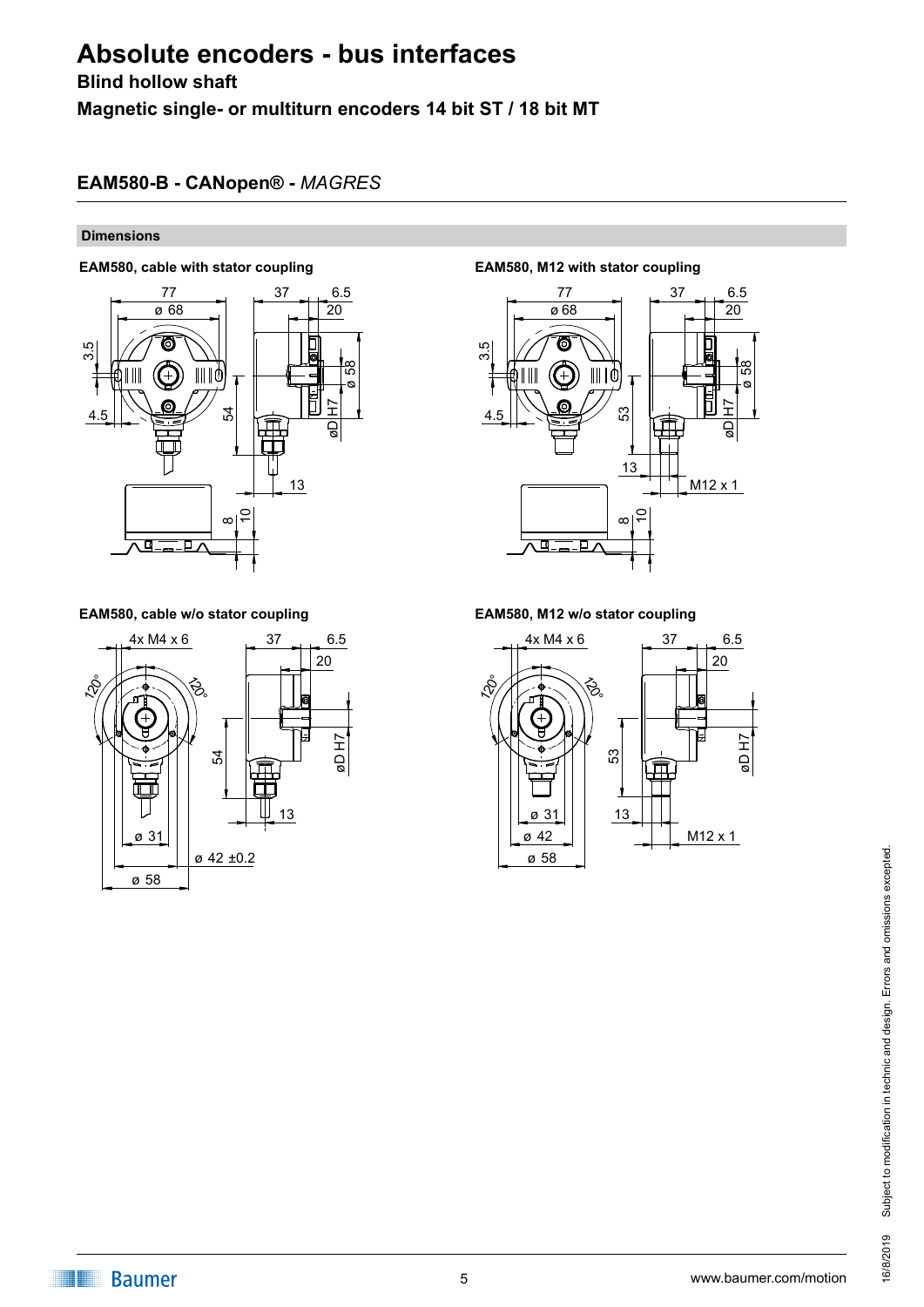# **Absolute encoders - bus interfaces**

# **Blind hollow shaft**

**Magnetic single- or multiturn encoders 14 bit ST / 18 bit MT**

# **EAM580-B - CANopen® -** *MAGRES*

## **Dimensions**

# **EAM580, cable with stator coupling EAM580, M12 with stator coupling**



# **EAM580, cable w/o stator coupling EAM580, M12 w/o stator coupling**